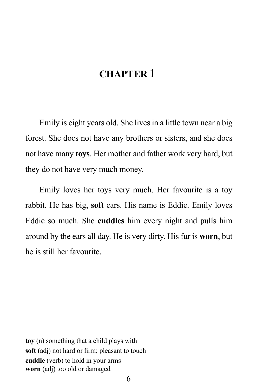## **CHAPTER 1**

Emily is eight years old. She lives in a little town near a big forest. She does not have any brothers or sisters, and she does not have many **toys**. Her mother and father work very hard, but they do not have very much money.

Emily loves her toys very much. Her favourite is a toy rabbit. He has big, **soft** ears. His name is Eddie. Emily loves Eddie so much. She **cuddles** him every night and pulls him around by the ears all day. He is very dirty. His fur is **worn**, but he is still her favourite.

**toy** (n) something that a child plays with **soft** (adj) not hard or firm; pleasant to touch **cuddle** (verb) to hold in your arms **worn** (adj) too old or damaged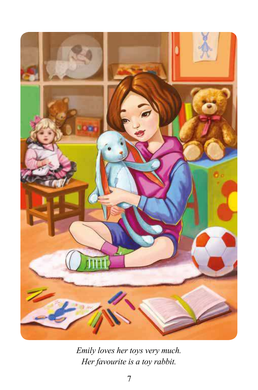

*Emily loves her toys very much. Her favourite is a toy rabbit.*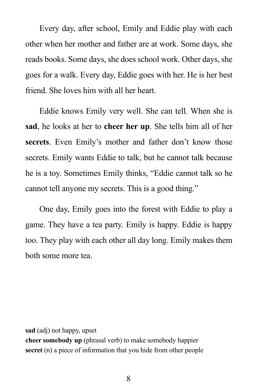Every day, after school, Emily and Eddie play with each other when her mother and father are at work. Some days, she reads books. Some days, she does school work. Other days, she goes for a walk. Every day, Eddie goes with her. He is her best friend. She loves him with all her heart.

Eddie knows Emily very well. She can tell. When she is **sad**, he looks at her to **cheer her up**. She tells him all of her **secrets**. Even Emily's mother and father don't know those secrets. Emily wants Eddie to talk, but he cannot talk because he is a toy. Sometimes Emily thinks, "Eddie cannot talk so he cannot tell anyone my secrets. This is a good thing."

One day, Emily goes into the forest with Eddie to play a game. They have a tea party. Emily is happy. Eddie is happy too. They play with each other all day long. Emily makes them both some more tea.

**sad** (adj) not happy, upset **cheer somebody up** (phrasal verb) to make somebody happier **secret** (n) a piece of information that you hide from other people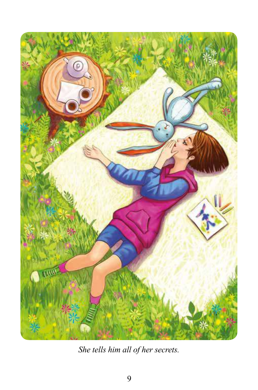

*She tells him all of her secrets.*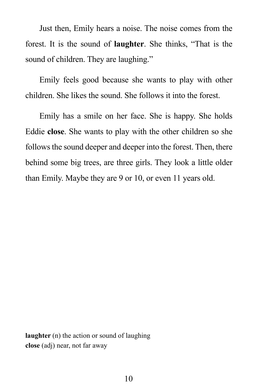Just then, Emily hears a noise. The noise comes from the forest. It is the sound of **laughter**. She thinks, "That is the sound of children. They are laughing."

Emily feels good because she wants to play with other children. She likes the sound. She follows it into the forest.

Emily has a smile on her face. She is happy. She holds Eddie **close**. She wants to play with the other children so she follows the sound deeper and deeper into the forest. Then, there behind some big trees, are three girls. They look a little older than Emily. Maybe they are 9 or 10, or even 11 years old.

**laughter** (n) the action or sound of laughing **close** (adj) near, not far away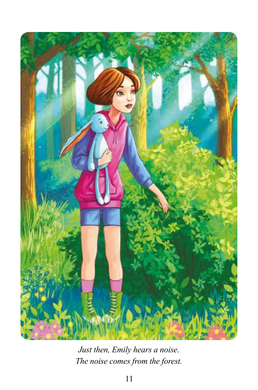

*Just then, Emily hears a noise. The noise comes from the forest.*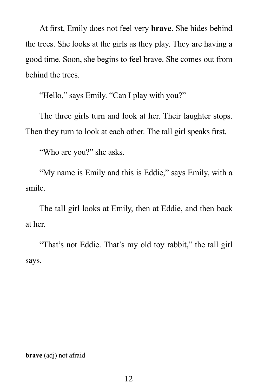At first, Emily does not feel very **brave**. She hides behind the trees. She looks at the girls as they play. They are having a good time. Soon, she begins to feel brave. She comes out from behind the trees.

"Hello," says Emily. "Can I play with you?"

The three girls turn and look at her. Their laughter stops. Then they turn to look at each other. The tall girl speaks first.

"Who are you?" she asks.

"My name is Emily and this is Eddie," says Emily, with a smile.

The tall girl looks at Emily, then at Eddie, and then back at her.

"That's not Eddie. That's my old toy rabbit," the tall girl says.

**brave** (adj) not afraid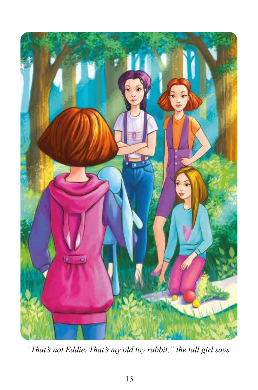

*"That's not Eddie. That's my old toy rabbit," the tall girl says.*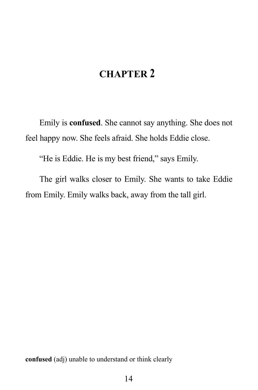## **CHAPTER 2**

Emily is **confused**. She cannot say anything. She does not feel happy now. She feels afraid. She holds Eddie close.

"He is Eddie. He is my best friend," says Emily.

The girl walks closer to Emily. She wants to take Eddie from Emily. Emily walks back, away from the tall girl.

**confused** (adj) unable to understand or think clearly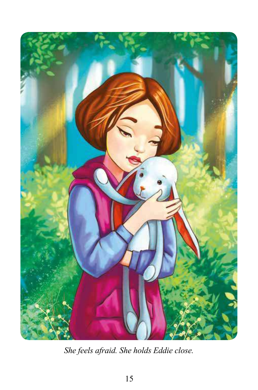

*She feels afraid. She holds Eddie close.*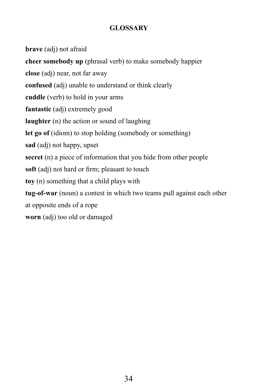#### **GLOSSARY**

**brave** (adj) not afraid **cheer somebody up** (phrasal verb) to make somebody happier **close** (adj) near, not far away **confused** (adj) unable to understand or think clearly **cuddle** (verb) to hold in your arms **fantastic** (adj) extremely good **laughter** (n) the action or sound of laughing **let go of** (idiom) to stop holding (somebody or something) **sad** (adj) not happy, upset **secret** (n) a piece of information that you hide from other people **soft** (adj) not hard or firm; pleasant to touch **toy** (n) something that a child plays with **tug-of-war** (noun) a contest in which two teams pull against each other at opposite ends of a rope **worn** (adj) too old or damaged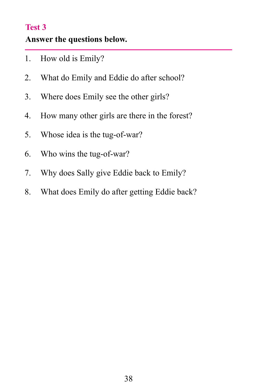### **Test 3 Answer the questions below.**

- 1. How old is Emily?
- 2. What do Emily and Eddie do after school?
- 3. Where does Emily see the other girls?
- 4. How many other girls are there in the forest?
- 5. Whose idea is the tug-of-war?
- 6. Who wins the tug-of-war?
- 7. Why does Sally give Eddie back to Emily?
- 8. What does Emily do after getting Eddie back?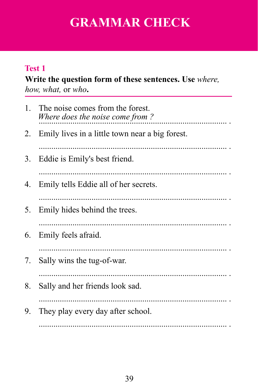# **GRAMMAR CHECK**

### **Test 1**

Write the question form of these sentences. Use where, how, what, or who.

| 1. | The noise comes from the forest.<br>Where does the noise come from? |
|----|---------------------------------------------------------------------|
| 2. | Emily lives in a little town near a big forest.                     |
| 3. | Eddie is Emily's best friend.                                       |
| 4. | Emily tells Eddie all of her secrets.                               |
| 5. | Emily hides behind the trees.                                       |
| 6. | Emily feels afraid.                                                 |
| 7. | Sally wins the tug-of-war.                                          |
| 8. | Sally and her friends look sad.                                     |
| 9. | They play every day after school.                                   |
|    |                                                                     |